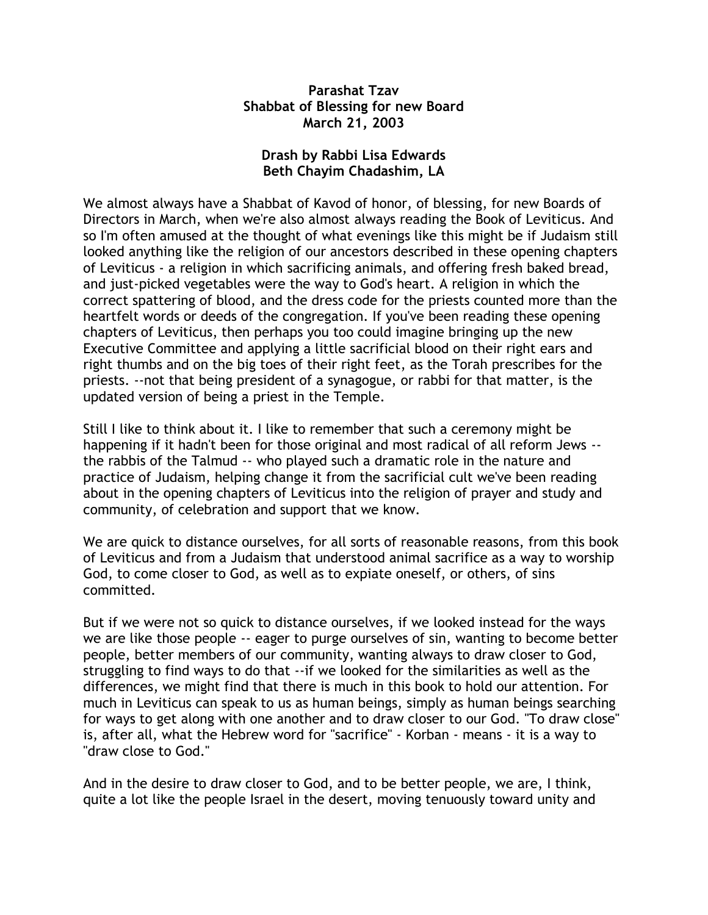## **Parashat Tzav Shabbat of Blessing for new Board March 21, 2003**

## **Drash by Rabbi Lisa Edwards Beth Chayim Chadashim, LA**

We almost always have a Shabbat of Kavod of honor, of blessing, for new Boards of Directors in March, when we're also almost always reading the Book of Leviticus. And so I'm often amused at the thought of what evenings like this might be if Judaism still looked anything like the religion of our ancestors described in these opening chapters of Leviticus - a religion in which sacrificing animals, and offering fresh baked bread, and just-picked vegetables were the way to God's heart. A religion in which the correct spattering of blood, and the dress code for the priests counted more than the heartfelt words or deeds of the congregation. If you've been reading these opening chapters of Leviticus, then perhaps you too could imagine bringing up the new Executive Committee and applying a little sacrificial blood on their right ears and right thumbs and on the big toes of their right feet, as the Torah prescribes for the priests. --not that being president of a synagogue, or rabbi for that matter, is the updated version of being a priest in the Temple.

Still I like to think about it. I like to remember that such a ceremony might be happening if it hadn't been for those original and most radical of all reform Jews - the rabbis of the Talmud -- who played such a dramatic role in the nature and practice of Judaism, helping change it from the sacrificial cult we've been reading about in the opening chapters of Leviticus into the religion of prayer and study and community, of celebration and support that we know.

We are quick to distance ourselves, for all sorts of reasonable reasons, from this book of Leviticus and from a Judaism that understood animal sacrifice as a way to worship God, to come closer to God, as well as to expiate oneself, or others, of sins committed.

But if we were not so quick to distance ourselves, if we looked instead for the ways we are like those people -- eager to purge ourselves of sin, wanting to become better people, better members of our community, wanting always to draw closer to God, struggling to find ways to do that --if we looked for the similarities as well as the differences, we might find that there is much in this book to hold our attention. For much in Leviticus can speak to us as human beings, simply as human beings searching for ways to get along with one another and to draw closer to our God. "To draw close" is, after all, what the Hebrew word for "sacrifice" - Korban - means - it is a way to "draw close to God."

And in the desire to draw closer to God, and to be better people, we are, I think, quite a lot like the people Israel in the desert, moving tenuously toward unity and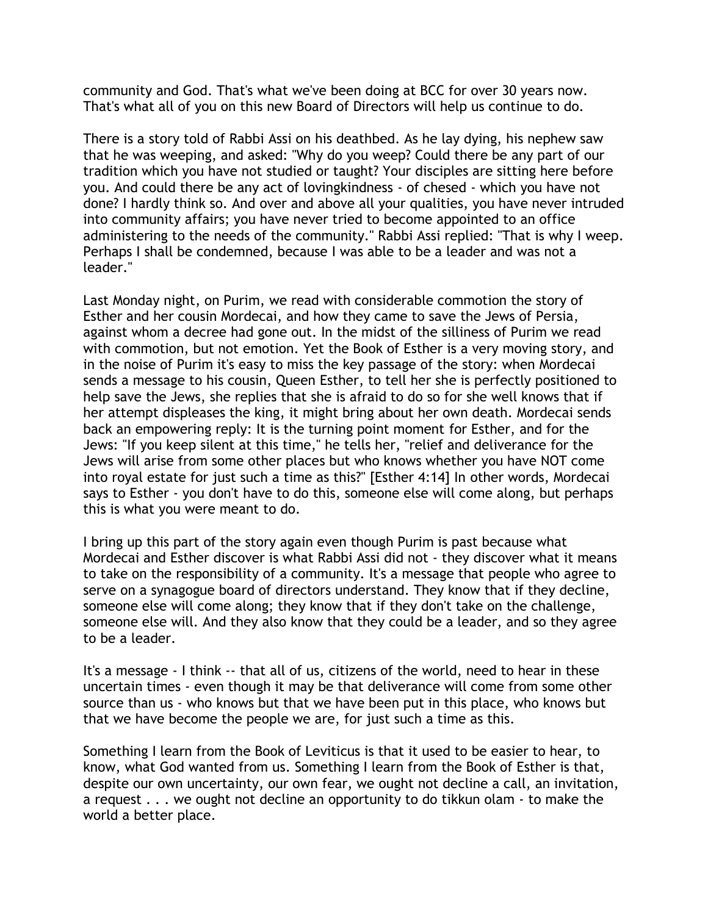community and God. That's what we've been doing at BCC for over 30 years now. That's what all of you on this new Board of Directors will help us continue to do.

There is a story told of Rabbi Assi on his deathbed. As he lay dying, his nephew saw that he was weeping, and asked: "Why do you weep? Could there be any part of our tradition which you have not studied or taught? Your disciples are sitting here before you. And could there be any act of lovingkindness - of chesed - which you have not done? I hardly think so. And over and above all your qualities, you have never intruded into community affairs; you have never tried to become appointed to an office administering to the needs of the community." Rabbi Assi replied: "That is why I weep. Perhaps I shall be condemned, because I was able to be a leader and was not a leader."

Last Monday night, on Purim, we read with considerable commotion the story of Esther and her cousin Mordecai, and how they came to save the Jews of Persia, against whom a decree had gone out. In the midst of the silliness of Purim we read with commotion, but not emotion. Yet the Book of Esther is a very moving story, and in the noise of Purim it's easy to miss the key passage of the story: when Mordecai sends a message to his cousin, Queen Esther, to tell her she is perfectly positioned to help save the Jews, she replies that she is afraid to do so for she well knows that if her attempt displeases the king, it might bring about her own death. Mordecai sends back an empowering reply: It is the turning point moment for Esther, and for the Jews: "If you keep silent at this time," he tells her, "relief and deliverance for the Jews will arise from some other places but who knows whether you have NOT come into royal estate for just such a time as this?" [Esther 4:14] In other words, Mordecai says to Esther - you don't have to do this, someone else will come along, but perhaps this is what you were meant to do.

I bring up this part of the story again even though Purim is past because what Mordecai and Esther discover is what Rabbi Assi did not - they discover what it means to take on the responsibility of a community. It's a message that people who agree to serve on a synagogue board of directors understand. They know that if they decline, someone else will come along; they know that if they don't take on the challenge, someone else will. And they also know that they could be a leader, and so they agree to be a leader.

It's a message - I think -- that all of us, citizens of the world, need to hear in these uncertain times - even though it may be that deliverance will come from some other source than us - who knows but that we have been put in this place, who knows but that we have become the people we are, for just such a time as this.

Something I learn from the Book of Leviticus is that it used to be easier to hear, to know, what God wanted from us. Something I learn from the Book of Esther is that, despite our own uncertainty, our own fear, we ought not decline a call, an invitation, a request . . . we ought not decline an opportunity to do tikkun olam - to make the world a better place.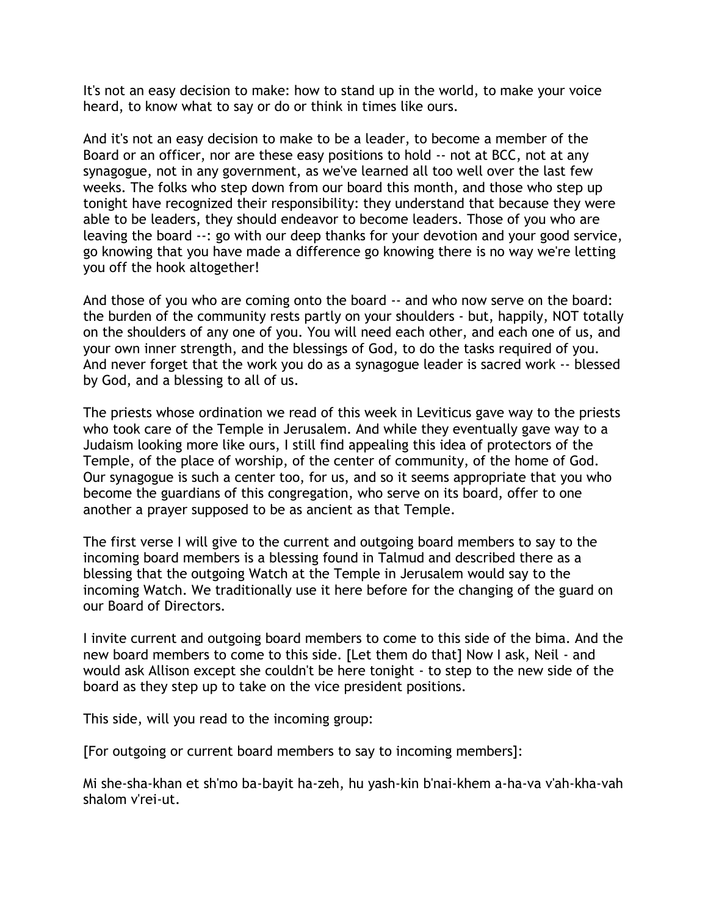It's not an easy decision to make: how to stand up in the world, to make your voice heard, to know what to say or do or think in times like ours.

And it's not an easy decision to make to be a leader, to become a member of the Board or an officer, nor are these easy positions to hold -- not at BCC, not at any synagogue, not in any government, as we've learned all too well over the last few weeks. The folks who step down from our board this month, and those who step up tonight have recognized their responsibility: they understand that because they were able to be leaders, they should endeavor to become leaders. Those of you who are leaving the board --: go with our deep thanks for your devotion and your good service, go knowing that you have made a difference go knowing there is no way we're letting you off the hook altogether!

And those of you who are coming onto the board -- and who now serve on the board: the burden of the community rests partly on your shoulders - but, happily, NOT totally on the shoulders of any one of you. You will need each other, and each one of us, and your own inner strength, and the blessings of God, to do the tasks required of you. And never forget that the work you do as a synagogue leader is sacred work -- blessed by God, and a blessing to all of us.

The priests whose ordination we read of this week in Leviticus gave way to the priests who took care of the Temple in Jerusalem. And while they eventually gave way to a Judaism looking more like ours, I still find appealing this idea of protectors of the Temple, of the place of worship, of the center of community, of the home of God. Our synagogue is such a center too, for us, and so it seems appropriate that you who become the guardians of this congregation, who serve on its board, offer to one another a prayer supposed to be as ancient as that Temple.

The first verse I will give to the current and outgoing board members to say to the incoming board members is a blessing found in Talmud and described there as a blessing that the outgoing Watch at the Temple in Jerusalem would say to the incoming Watch. We traditionally use it here before for the changing of the guard on our Board of Directors.

I invite current and outgoing board members to come to this side of the bima. And the new board members to come to this side. [Let them do that] Now I ask, Neil - and would ask Allison except she couldn't be here tonight - to step to the new side of the board as they step up to take on the vice president positions.

This side, will you read to the incoming group:

[For outgoing or current board members to say to incoming members]:

Mi she-sha-khan et sh'mo ba-bayit ha-zeh, hu yash-kin b'nai-khem a-ha-va v'ah-kha-vah shalom v'rei-ut.